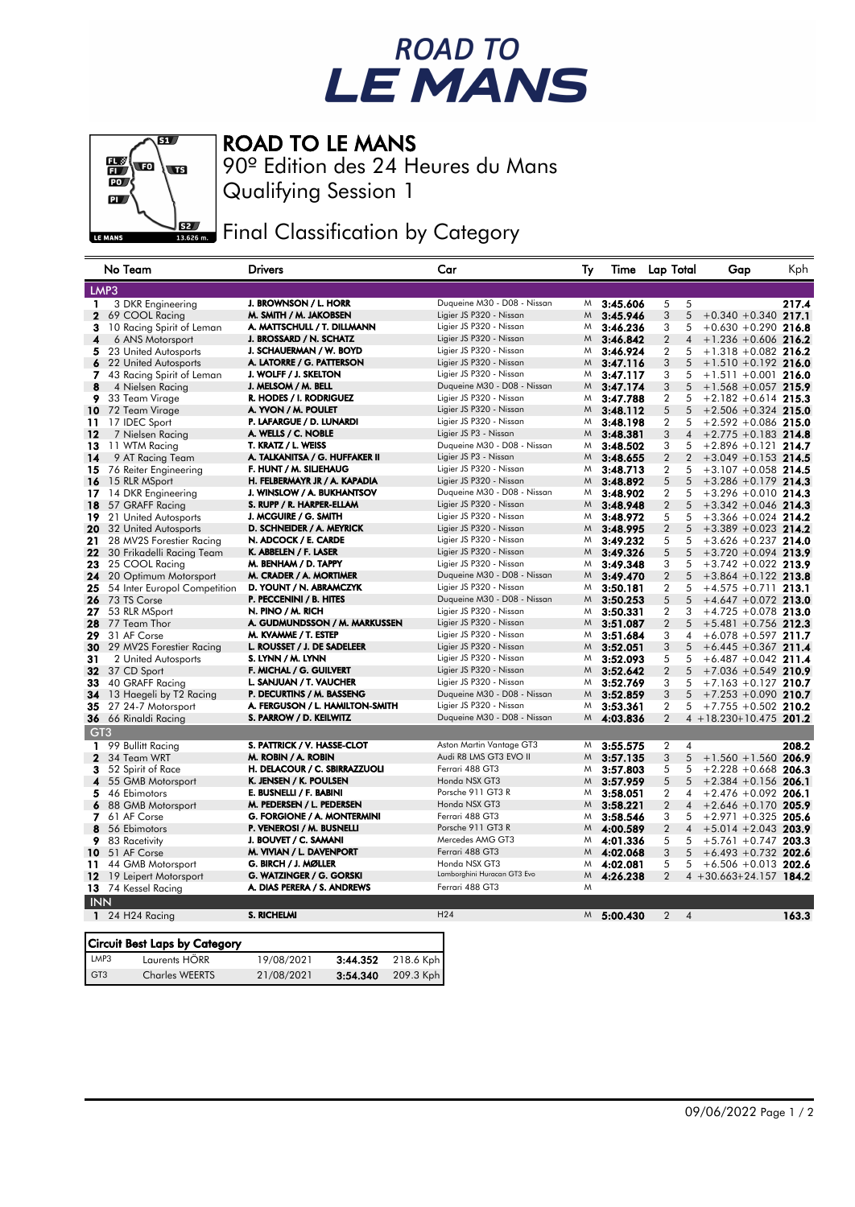## ROAD TO<br>LE MANS



ROAD TO LE MANS

GT3 Charles WEERTS 21/08/2021 3:54.340 209.3 Kph

Qualifying Session 1 90º Edition des 24 Heures du Mans

Final Classification by Category

|                 | No Team                              | Drivers                             | Car                         | Ту | Time           | Lap Total      |                | Gap                         | Kph   |
|-----------------|--------------------------------------|-------------------------------------|-----------------------------|----|----------------|----------------|----------------|-----------------------------|-------|
| LMP3            |                                      |                                     |                             |    |                |                |                |                             |       |
| 1               | 3 DKR Engineering                    | J. BROWNSON / L. HORR               | Duqueine M30 - D08 - Nissan | M  | 3:45.606       | 5              | 5              |                             | 217.4 |
| $\mathbf{2}$    | 69 COOL Racing                       | M. SMITH / M. JAKOBSEN              | Ligier JS P320 - Nissan     | M  | 3:45.946       | 3              | 5              | $+0.340 +0.340$ 217.1       |       |
| з               | 10 Racing Spirit of Leman            | A. MATTSCHULL / T. DILLMANN         | Ligier JS P320 - Nissan     | M  | 3:46.236       | 3              | 5              | $+0.630 + 0.290$ 216.8      |       |
| 4               | 6 ANS Motorsport                     | J. BROSSARD / N. SCHATZ             | Ligier JS P320 - Nissan     | M  | 3:46.842       | $\overline{2}$ | 4              | $+1.236 + 0.606$ 216.2      |       |
| 5               | 23 United Autosports                 | J. SCHAUERMAN / W. BOYD             | Ligier JS P320 - Nissan     | M  | 3:46.924       | $\overline{2}$ | 5              | $+1.318 + 0.082$ 216.2      |       |
| 6               | 22 United Autosports                 | A. LATORRE / G. PATTERSON           | Ligier JS P320 - Nissan     | M  | 3:47.116       | 3              | 5              | $+1.510 +0.192$ 216.0       |       |
| 7               | 43 Racing Spirit of Leman            | J. WOLFF / J. SKELTON               | Ligier JS P320 - Nissan     | M  | 3:47.117       | 3              | 5              | $+1.511 +0.001$ 216.0       |       |
| 8               | 4 Nielsen Racing                     | J. MELSOM / M. BELL                 | Duqueine M30 - D08 - Nissan | M  | 3:47.174       | 3              | 5              | $+1.568 + 0.057$ 215.9      |       |
| 9               | 33 Team Virage                       | R. HODES / I. RODRIGUEZ             | Ligier JS P320 - Nissan     | M  | 3:47.788       | $\overline{2}$ | 5              | $+2.182 + 0.614$ 215.3      |       |
| 10              | 72 Team Virage                       | A. YVON / M. POULET                 | Ligier JS P320 - Nissan     | M  | 3:48.112       | 5              | 5              | $+2.506 + 0.324$ 215.0      |       |
| 11              | 17 IDEC Sport                        | P. LAFARGUE / D. LUNARDI            | Ligier JS P320 - Nissan     | M  | 3:48.198       | $\overline{2}$ | 5              | $+2.592 +0.086$ 215.0       |       |
| 12              | 7 Nielsen Racing                     | A. WELLS / C. NOBLE                 | Ligier JS P3 - Nissan       | Μ  | 3:48.381       | 3              | $\overline{4}$ | $+2.775 +0.183$ 214.8       |       |
| 13              | 11 WTM Racing                        | T. KRATZ / L. WEISS                 | Duqueine M30 - D08 - Nissan | M  | 3:48.502       | 3              | 5              | $+2.896 +0.121$ 214.7       |       |
| 14              | 9 AT Racing Team                     | A. TALKANITSA / G. HUFFAKER II      | Ligier JS P3 - Nissan       | M  | 3:48.655       | $\overline{2}$ | $\overline{2}$ | $+3.049 + 0.153$ 214.5      |       |
| 15              | 76 Reiter Engineering                | F. HUNT / M. SILJEHAUG              | Ligier JS P320 - Nissan     | M  | 3:48.713       | $\overline{2}$ | 5              | $+3.107 + 0.058$ 214.5      |       |
| 16              | 15 RLR MSport                        | H. FELBERMAYR JR / A. KAPADIA       | Ligier JS P320 - Nissan     | M  | 3:48.892       | 5              | 5              | $+3.286 +0.179$ 214.3       |       |
| 17.             | 14 DKR Engineering                   | J. WINSLOW / A. BUKHANTSOV          | Duqueine M30 - D08 - Nissan | M  | 3:48.902       | $\overline{2}$ | 5              | $+3.296 +0.010$ 214.3       |       |
| 18              | 57 GRAFF Racing                      | S. RUPP / R. HARPER-ELLAM           | Ligier JS P320 - Nissan     | M  | 3:48.948       | $\overline{2}$ | 5              | $+3.342 +0.046$ 214.3       |       |
| 19              | 21 United Autosports                 | J. MCGUIRE / G. SMITH               | Ligier JS P320 - Nissan     | M  | 3:48.972       | 5              | 5              | $+3.366 + 0.024$ 214.2      |       |
| 20              | 32 United Autosports                 | D. SCHNEIDER / A. MEYRICK           | Ligier JS P320 - Nissan     | M  | 3:48.995       | $\overline{2}$ | 5              | $+3.389 + 0.023$ 214.2      |       |
| 21              | 28 MV2S Forestier Racing             | N. ADCOCK / E. CARDE                | Ligier JS P320 - Nissan     | M  | 3:49.232       | 5              | 5              | $+3.626 + 0.237$ 214.0      |       |
| 22              | 30 Frikadelli Racing Team            | K. ABBELEN / F. LASER               | Ligier JS P320 - Nissan     | M  | 3:49.326       | 5              | 5              | $+3.720 + 0.094$ 213.9      |       |
| 23              | 25 COOL Racing                       | M. BENHAM / D. TAPPY                | Ligier JS P320 - Nissan     | M  | 3:49.348       | 3              | 5              | $+3.742 +0.022$ 213.9       |       |
| 24              | 20 Optimum Motorsport                | M. CRADER / A. MORTIMER             | Duqueine M30 - D08 - Nissan | M  | 3:49.470       | $\overline{2}$ | 5              | $+3.864 +0.122$ 213.8       |       |
| 25              | 54 Inter Europol Competition         | D. YOUNT / N. ABRAMCZYK             | Ligier JS P320 - Nissan     | M  | 3:50.181       | $\overline{2}$ | 5              | $+4.575 +0.711$ 213.1       |       |
| 26              | 73 TS Corse                          | P. PECCENINI / B. HITES             | Duqueine M30 - D08 - Nissan | M  | 3:50.253       | 5              | 5              | $+4.647 +0.072$ 213.0       |       |
| 27              | 53 RLR MSport                        | N. PINO / M. RICH                   | Ligier JS P320 - Nissan     | M  | 3:50.331       | $\overline{2}$ | 3              | $+4.725 +0.078$ 213.0       |       |
| 28              | 77 Team Thor                         | A. GUDMUNDSSON / M. MARKUSSEN       | Ligier JS P320 - Nissan     | M  | 3:51.087       | $\overline{2}$ | 5              | $+5.481 + 0.756$ 212.3      |       |
| 29              | 31 AF Corse                          | M. KVAMME / T. ESTEP                | Ligier JS P320 - Nissan     | M  | 3:51.684       | 3              | 4              | $+6.078 + 0.597$ 211.7      |       |
| 30              | 29 MV2S Forestier Racing             | L. ROUSSET / J. DE SADELEER         | Ligier JS P320 - Nissan     | M  | 3:52.051       | 3              | 5              | $+6.445 + 0.367$ 211.4      |       |
| 31              | 2 United Autosports                  | S. LYNN / M. LYNN                   | Ligier JS P320 - Nissan     | M  | 3:52.093       | 5              | 5              | $+6.487 + 0.042$ 211.4      |       |
| 32              | 37 CD Sport                          | F. MICHAL / G. GUILVERT             | Ligier JS P320 - Nissan     | M  | 3:52.642       | $\overline{2}$ | 5              | $+7.036 + 0.549$ 210.9      |       |
| 33              | 40 GRAFF Racing                      | L. SANJUAN / T. VAUCHER             | Ligier JS P320 - Nissan     | M  | 3:52.769       | 3              | 5              | $+7.163 +0.127$ 210.7       |       |
| 34              | 13 Haegeli by T2 Racing              | P. DECURTINS / M. BASSENG           | Duqueine M30 - D08 - Nissan | Μ  | 3:52.859       | 3              | 5              | $+7.253 + 0.090$ 210.7      |       |
| 35              | 27 24-7 Motorsport                   | A. FERGUSON / L. HAMILTON-SMITH     | Ligier JS P320 - Nissan     | M  | 3:53.361       | $\overline{2}$ | 5              | $+7.755 + 0.502$ 210.2      |       |
| 36              | 66 Rinaldi Racing                    | S. PARROW / D. KEILWITZ             | Duqueine M30 - D08 - Nissan | M  | 4:03.836       | $\overline{2}$ |                | $4 + 18.230 + 10.475$ 201.2 |       |
| GT <sub>3</sub> |                                      |                                     |                             |    |                |                |                |                             |       |
| 1               | 99 Bullitt Racing                    | S. PATTRICK / V. HASSE-CLOT         | Aston Martin Vantage GT3    | M  | 3:55.575       | 2              | 4              |                             | 208.2 |
| $\mathbf{2}$    | 34 Team WRT                          | M. ROBIN / A. ROBIN                 | Audi R8 LMS GT3 EVO II      | M  | 3:57.135       | 3              | 5              | $+1.560 + 1.560$ 206.9      |       |
| 3               | 52 Spirit of Race                    | H. DELACOUR / C. SBIRRAZZUOLI       | Ferrari 488 GT3             | M  | 3:57.803       | 5              | 5              | $+2.228 + 0.668$ 206.3      |       |
| 4               | 55 GMB Motorsport                    | K. JENSEN / K. POULSEN              | Honda NSX GT3               | M  | 3:57.959       | 5              | 5              | $+2.384 +0.156$ 206.1       |       |
| 5               | 46 Ebimotors                         | E. BUSNELLI / F. BABINI             | Porsche 911 GT3 R           | M  | 3:58.051       | $\overline{2}$ | 4              | $+2.476 + 0.092$ 206.1      |       |
| 6               | 88 GMB Motorsport                    | M. PEDERSEN / L. PEDERSEN           | Honda NSX GT3               | M  | 3:58.221       | $\overline{2}$ | $\overline{4}$ | $+2.646 + 0.170$ 205.9      |       |
| 7               | 61 AF Corse                          | G. FORGIONE / A. MONTERMINI         | Ferrari 488 GT3             | M  | 3:58.546       | 3              | 5              | $+2.971 +0.325$ 205.6       |       |
| 8               | 56 Ebimotors                         | P. VENEROSI / M. BUSNELLI           | Porsche 911 GT3 R           | M  | 4:00.589       | $\overline{2}$ | 4              | $+5.014 + 2.043$ 203.9      |       |
| 9               | 83 Racetivity                        | J. BOUVET / C. SAMANI               | Mercedes AMG GT3            | M  | 4:01.336       | 5              | 5              | $+5.761 + 0.747$ 203.3      |       |
| 10              | 51 AF Corse                          | M. VIVIAN / L. DAVENPORT            | Ferrari 488 GT3             | M  | 4:02.068       | 3              | 5              | $+6.493 +0.732$ 202.6       |       |
| 11              | 44 GMB Motorsport                    | G. BIRCH / J. MØLLER                | Honda NSX GT3               | M  | 4:02.081       | 5              | 5              | $+6.506 + 0.013$ 202.6      |       |
| 12              | 19 Leipert Motorsport                | G. WATZINGER / G. GORSKI            | Lamborghini Huracan GT3 Evo | M  | 4:26.238       | $\overline{2}$ |                | $4 + 30.663 + 24.157$ 184.2 |       |
|                 | 13 74 Kessel Racing                  | A. DIAS PERERA / S. ANDREWS         | Ferrari 488 GT3             | M  |                |                |                |                             |       |
| <b>INN</b>      |                                      |                                     |                             |    |                |                |                |                             |       |
|                 | 1 $24$ H24 Racing                    | S. RICHELMI                         | H24                         |    | $M = 5:00.430$ | $\overline{2}$ | $\overline{4}$ |                             | 163.3 |
|                 |                                      |                                     |                             |    |                |                |                |                             |       |
|                 | <b>Circuit Best Laps by Category</b> |                                     |                             |    |                |                |                |                             |       |
| LMP3            | Laurents HÖRR                        | 218.6 Kph<br>19/08/2021<br>3:44.352 |                             |    |                |                |                |                             |       |
| GT <sub>3</sub> | <b>Charles WEERTS</b>                | 209.3 Kph<br>3:54.340<br>21/08/2021 |                             |    |                |                |                |                             |       |